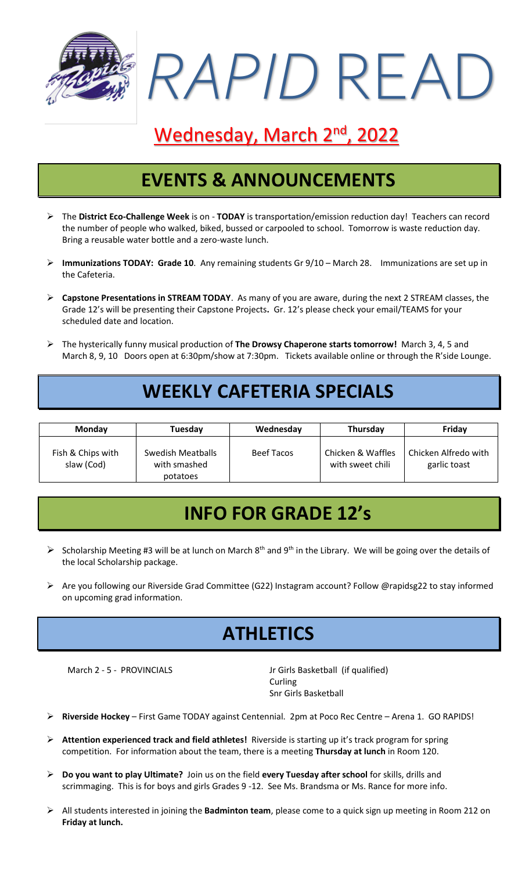

# Wednesday, March 2<sup>nd</sup>, 2022

### **EVENTS & ANNOUNCEMENTS**

- ➢ The **District Eco-Challenge Week** is on **TODAY** is transportation/emission reduction day! Teachers can record the number of people who walked, biked, bussed or carpooled to school. Tomorrow is waste reduction day. Bring a reusable water bottle and a zero-waste lunch.
- ➢ **Immunizations TODAY: Grade 10**. Any remaining students Gr 9/10 March 28. Immunizations are set up in the Cafeteria.
- ➢ **Capstone Presentations in STREAM TODAY**. As many of you are aware, during the next 2 STREAM classes, the Grade 12's will be presenting their Capstone Projects**.** Gr. 12's please check your email/TEAMS for your scheduled date and location.
- ➢ The hysterically funny musical production of **The Drowsy Chaperone starts tomorrow!** March 3, 4, 5 and March 8, 9, 10 Doors open at 6:30pm/show at 7:30pm. Tickets available online or through the R'side Lounge.

#### **WEEKLY CAFETERIA SPECIALS**

| Monday                          | Tuesday                                       | Wednesday         | Thursday                              | Friday                               |
|---------------------------------|-----------------------------------------------|-------------------|---------------------------------------|--------------------------------------|
| Fish & Chips with<br>slaw (Cod) | Swedish Meatballs<br>with smashed<br>potatoes | <b>Beef Tacos</b> | Chicken & Waffles<br>with sweet chili | Chicken Alfredo with<br>garlic toast |

### **INFO FOR GRADE 12's**

- $\triangleright$  Scholarship Meeting #3 will be at lunch on March 8<sup>th</sup> and 9<sup>th</sup> in the Library. We will be going over the details of the local Scholarship package.
- ➢ Are you following our Riverside Grad Committee (G22) Instagram account? Follow @rapidsg22 to stay informed on upcoming grad information.

## **ATHLETICS**

March 2 - 5 - PROVINCIALS Jr Girls Basketball (if qualified) **Curling** Snr Girls Basketball

- ➢ **Riverside Hockey** First Game TODAY against Centennial. 2pm at Poco Rec Centre Arena 1. GO RAPIDS!
- ➢ **Attention experienced track and field athletes!** Riverside is starting up it's track program for spring competition. For information about the team, there is a meeting **Thursday at lunch** in Room 120.
- ➢ **Do you want to play Ultimate?** Join us on the field **every Tuesday after school** for skills, drills and scrimmaging. This is for boys and girls Grades 9 -12. See Ms. Brandsma or Ms. Rance for more info.
- ➢ All students interested in joining the **Badminton team**, please come to a quick sign up meeting in Room 212 on **Friday at lunch.**